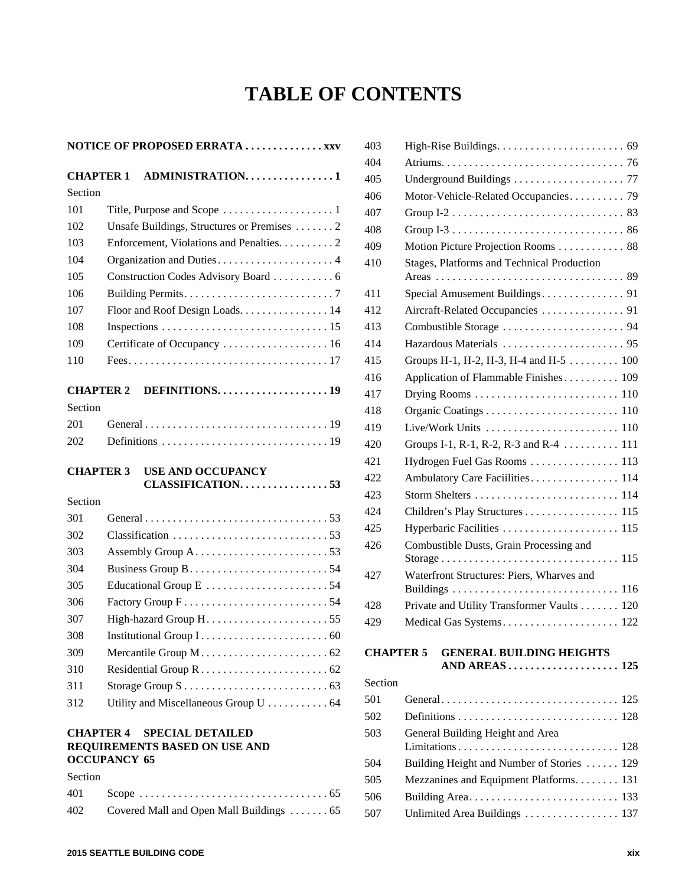# **TABLE OF CONTENTS**

| NOTICE OF PROPOSED ERRATA  xxv               |                                             |  |
|----------------------------------------------|---------------------------------------------|--|
| <b>CHAPTER 1</b>                             | ADMINISTRATION1                             |  |
| Section                                      |                                             |  |
| 101                                          |                                             |  |
| 102                                          | Unsafe Buildings, Structures or Premises  2 |  |
| 103                                          | Enforcement, Violations and Penalties. 2    |  |
| 104                                          |                                             |  |
| 105                                          | Construction Codes Advisory Board  6        |  |
| 106                                          |                                             |  |
| 107                                          | Floor and Roof Design Loads. 14             |  |
| 108                                          |                                             |  |
| 109                                          |                                             |  |
| 110                                          |                                             |  |
| <b>CHAPTER 2</b>                             | DEFINITIONS19                               |  |
| Section                                      |                                             |  |
| 201                                          |                                             |  |
| 202                                          |                                             |  |
| <b>USE AND OCCUPANCY</b><br><b>CHAPTER 3</b> |                                             |  |
|                                              |                                             |  |
| Section                                      | CLASSIFICATION53                            |  |
| 301                                          |                                             |  |
| 302                                          |                                             |  |
| 303                                          |                                             |  |
| 304                                          |                                             |  |
| 305                                          |                                             |  |
| 306                                          |                                             |  |
| 307                                          |                                             |  |
| 308                                          |                                             |  |
| 309                                          |                                             |  |
| 310                                          |                                             |  |
| 311                                          |                                             |  |
| 312                                          | Utility and Miscellaneous Group U  64       |  |

| 402 Covered Mall and Open Mall Buildings  65 |
|----------------------------------------------|

| 403                         |                                               |
|-----------------------------|-----------------------------------------------|
| 404                         |                                               |
| 405                         |                                               |
| 406                         | Motor-Vehicle-Related Occupancies 79          |
| 407                         |                                               |
| 408                         |                                               |
| 409                         | Motion Picture Projection Rooms 88            |
| 410                         | Stages, Platforms and Technical Production    |
| 411                         |                                               |
| 412                         |                                               |
| 413                         |                                               |
| 414                         |                                               |
| 415                         | Groups H-1, H-2, H-3, H-4 and H-5 100         |
| 416                         | Application of Flammable Finishes 109         |
| 417                         |                                               |
| 418                         |                                               |
| 419                         |                                               |
| 420                         | Groups I-1, R-1, R-2, R-3 and R-4  111        |
| 421                         | Hydrogen Fuel Gas Rooms  113                  |
| 422                         | Ambulatory Care Faciilities 114               |
| 423                         |                                               |
| 424                         | Children's Play Structures 115                |
| 425                         |                                               |
| 426                         | Combustible Dusts, Grain Processing and       |
| 427                         | Waterfront Structures: Piers, Wharves and     |
| 428                         | Private and Utility Transformer Vaults 120    |
| 429                         | Medical Gas Systems 122                       |
| $\sim$ $\sim$ $\sim$ $\sim$ | $\epsilon$ anymn is new prior with $\epsilon$ |

#### **CHAPTER 5 GENERAL BUILDING HEIGHTS AND AREAS . . . . . . . . . . . . . . . . . . . . 125**

# Section 501 General. . . . . . . . . . . . . . . . . . . . . . . . . . . . . . . . 125 502 Definitions . . . . . . . . . . . . . . . . . . . . . . . . . . . . . 128 503 General Building Height and Area Limitations . . . . . . . . . . . . . . . . . . . . . . . . . . . . . 128 504 Building Height and Number of Stories . . . . . . 129 505 Mezzanines and Equipment Platforms. . . . . . . . 131 506 Building Area. . . . . . . . . . . . . . . . . . . . . . . . . . . 133 507 Unlimited Area Buildings . . . . . . . . . . . . . . . . . 137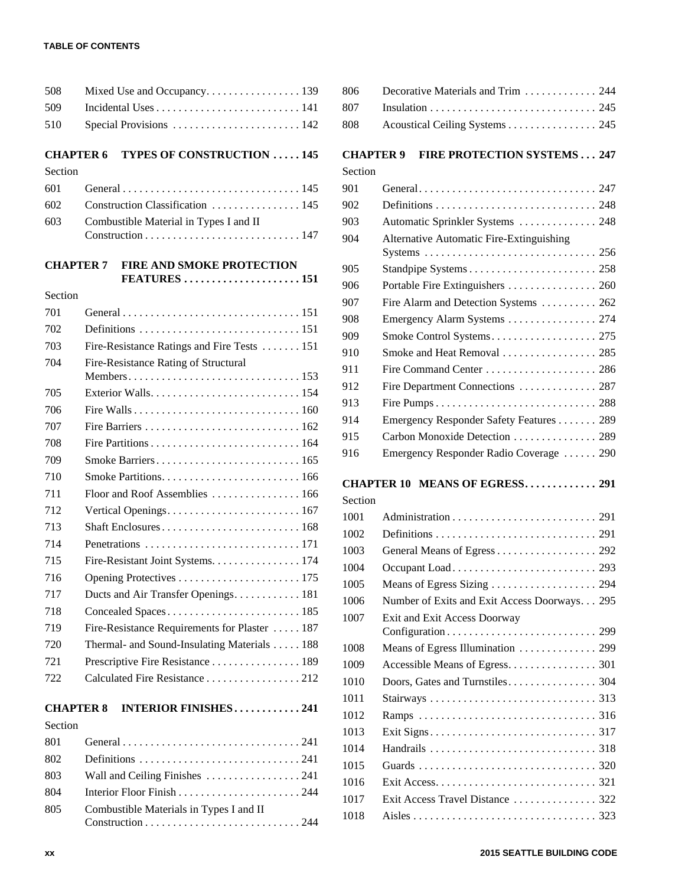#### **TABLE OF CONTENTS**

| 508              |                                                                                              |
|------------------|----------------------------------------------------------------------------------------------|
| 509              |                                                                                              |
| 510              | Special Provisions  142                                                                      |
|                  |                                                                                              |
| <b>CHAPTER 6</b> | <b>TYPES OF CONSTRUCTION  145</b>                                                            |
| Section          |                                                                                              |
| 601              |                                                                                              |
| 602              | Construction Classification  145                                                             |
| 603              | Combustible Material in Types I and II                                                       |
|                  |                                                                                              |
| <b>CHAPTER 7</b> | <b>FIRE AND SMOKE PROTECTION</b>                                                             |
|                  |                                                                                              |
| Section          |                                                                                              |
| 701              | General $\ldots$ $\ldots$ $\ldots$ $\ldots$ $\ldots$ $\ldots$ $\ldots$ $\ldots$ $\ldots$ 151 |
| 702              |                                                                                              |
| 703              | Fire-Resistance Ratings and Fire Tests  151                                                  |
| 704              | Fire-Resistance Rating of Structural                                                         |
|                  |                                                                                              |
| 705              |                                                                                              |
| 706              |                                                                                              |
| 707              |                                                                                              |
| 708              |                                                                                              |
| 709              |                                                                                              |
| 710              |                                                                                              |
| 711              | Floor and Roof Assemblies  166                                                               |
| 712              |                                                                                              |
| 713              |                                                                                              |
| 714              |                                                                                              |
| 715              | Fire-Resistant Joint Systems. 174                                                            |
| 716              |                                                                                              |
| 717              | Ducts and Air Transfer Openings. 181                                                         |
| 718              |                                                                                              |
| 719              | Fire-Resistance Requirements for Plaster  187                                                |
| 720              | Thermal- and Sound-Insulating Materials 188                                                  |
| 721              | Prescriptive Fire Resistance 189                                                             |
| 722              | Calculated Fire Resistance 212                                                               |
|                  |                                                                                              |
| <b>CHAPTER 8</b> | <b>INTERIOR FINISHES241</b>                                                                  |
| Section          |                                                                                              |
| 801              |                                                                                              |
| 802              |                                                                                              |
| 803              |                                                                                              |
| 804              |                                                                                              |

805 Combustible Materials in Types I and II

Construction . . . . . . . . . . . . . . . . . . . . . . . . . . . . 244

| 806 Decorative Materials and Trim  244 |  |
|----------------------------------------|--|
|                                        |  |
|                                        |  |

### **CHAPTER 9 FIRE PROTECTION SYSTEMS . . . 247**

Section

| 901 |                                                                     |
|-----|---------------------------------------------------------------------|
| 902 |                                                                     |
| 903 | Automatic Sprinkler Systems  248                                    |
| 904 | Alternative Automatic Fire-Extinguishing                            |
| 905 |                                                                     |
| 906 | Portable Fire Extinguishers  260                                    |
| 907 | Fire Alarm and Detection Systems  262                               |
| 908 |                                                                     |
| 909 |                                                                     |
| 910 | Smoke and Heat Removal  285                                         |
| 911 | Fire Command Center $\ldots \ldots \ldots \ldots \ldots \ldots$ 286 |
| 912 | Fire Department Connections  287                                    |
| 913 |                                                                     |
| 914 | Emergency Responder Safety Features 289                             |
| 915 | Carbon Monoxide Detection 289                                       |
| 916 | Emergency Responder Radio Coverage  290                             |
|     |                                                                     |

# **CHAPTER 10 MEANS OF EGRESS. . . . . . . . . . . . . 291**

Section

| 1001 |                                              |
|------|----------------------------------------------|
| 1002 |                                              |
| 1003 |                                              |
| 1004 |                                              |
| 1005 |                                              |
| 1006 | Number of Exits and Exit Access Doorways 295 |
| 1007 | Exit and Exit Access Doorway                 |
|      |                                              |
| 1008 | Means of Egress Illumination  299            |
| 1009 | Accessible Means of Egress. 301              |
| 1010 |                                              |
| 1011 |                                              |
| 1012 |                                              |
| 1013 |                                              |
| 1014 |                                              |
| 1015 |                                              |
| 1016 |                                              |
| 1017 | Exit Access Travel Distance  322             |
| 1018 |                                              |
|      |                                              |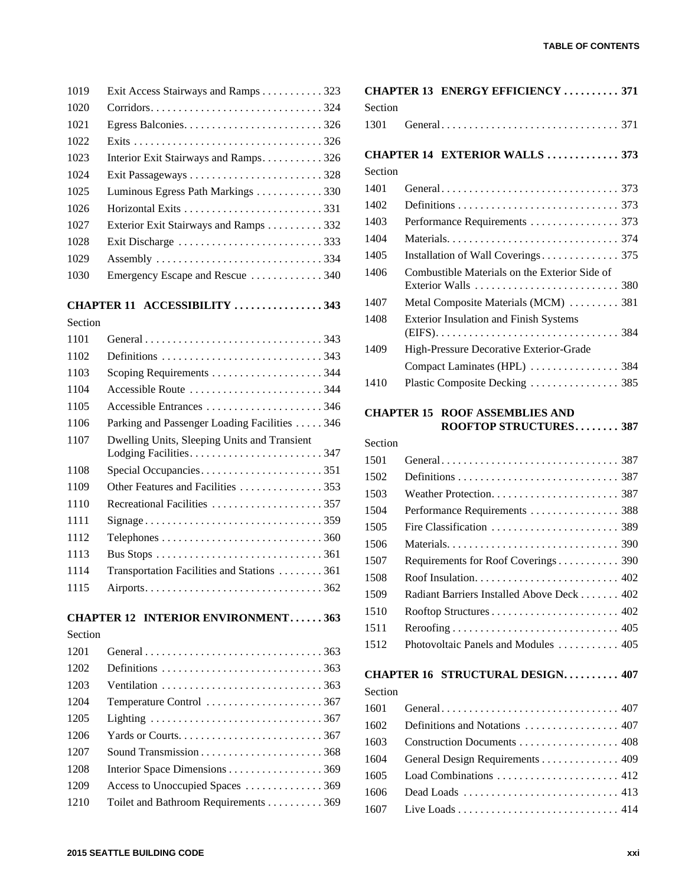| 1019    | Exit Access Stairways and Ramps 323          |         | <b>CHAPTER 13 ENERGY I</b>           |
|---------|----------------------------------------------|---------|--------------------------------------|
| 1020    |                                              | Section |                                      |
| 1021    |                                              | 1301    | General                              |
| 1022    |                                              |         |                                      |
| 1023    | Interior Exit Stairways and Ramps326         |         | <b>CHAPTER 14 EXTERIO!</b>           |
| 1024    |                                              | Section |                                      |
| 1025    | Luminous Egress Path Markings 330            | 1401    | General                              |
| 1026    |                                              | 1402    | Definitions                          |
| 1027    | Exterior Exit Stairways and Ramps 332        | 1403    | Performance Requir                   |
| 1028    | Exit Discharge 333                           | 1404    | Materials.                           |
| 1029    |                                              | 1405    | Installation of Wall                 |
| 1030    | Emergency Escape and Rescue 340              | 1406    | Combustible Materi<br>Exterior Walls |
|         | CHAPTER 11 ACCESSIBILITY 343                 | 1407    | Metal Composite M                    |
| Section |                                              | 1408    | Exterior Insulation a<br>$(EIFS).$   |
| 1101    |                                              | 1409    | High-Pressure Deco                   |
| 1102    |                                              |         | <b>Compact Laminates</b>             |
| 1103    | Scoping Requirements 344                     | 1410    | Plastic Composite D                  |
| 1104    | Accessible Route 344                         |         |                                      |
| 1105    |                                              |         | <b>CHAPTER 15 ROOF ASS</b>           |
| 1106    | Parking and Passenger Loading Facilities 346 |         | <b>ROOFTOF</b>                       |
| 1107    | Dwelling Units, Sleeping Units and Transient | Section |                                      |
| 1108    |                                              | 1501    | General                              |
| 1109    | Other Features and Facilities 353            | 1502    | Definitions                          |
| 1110    | Recreational Facilities 357                  | 1503    | <b>Weather Protection.</b>           |
| 1111    |                                              | 1504    | Performance Requir                   |
| 1112    |                                              | 1505    | Fire Classification.                 |
| 1113    |                                              | 1506    | Materials.                           |
|         |                                              | 1507    | Requirements for Re                  |
| 1114    | Transportation Facilities and Stations 361   | 1508    | Roof Insulation                      |
| 1115    |                                              | 1509    | <b>Radiant Barriers Ins</b>          |
|         |                                              | 1510    | Roofton Structures                   |

**CHAPTER 12 INTERIOR ENVIRONMENT. . . . . . 363** Section

| 1201 |                                      |
|------|--------------------------------------|
| 1202 |                                      |
| 1203 |                                      |
| 1204 | Temperature Control 367              |
| 1205 |                                      |
| 1206 |                                      |
| 1207 |                                      |
| 1208 | Interior Space Dimensions 369        |
| 1209 | Access to Unoccupied Spaces 369      |
| 1210 | Toilet and Bathroom Requirements 369 |
|      |                                      |

#### **TABLE OF CONTENTS**

|                                       | <b>CHAPTER 13 ENERGY EFFICIENCY  371</b>      |  |
|---------------------------------------|-----------------------------------------------|--|
| Section                               |                                               |  |
| 1301                                  |                                               |  |
|                                       |                                               |  |
|                                       | <b>CHAPTER 14 EXTERIOR WALLS  373</b>         |  |
| Section                               |                                               |  |
| 1401                                  |                                               |  |
| 1402                                  |                                               |  |
| 1403                                  | Performance Requirements  373                 |  |
| 1404                                  |                                               |  |
| 1405                                  |                                               |  |
| 1406                                  | Combustible Materials on the Exterior Side of |  |
|                                       | Exterior Walls  380                           |  |
| 1407                                  | Metal Composite Materials (MCM)  381          |  |
| 1408                                  | <b>Exterior Insulation and Finish Systems</b> |  |
|                                       |                                               |  |
| 1409                                  | High-Pressure Decorative Exterior-Grade       |  |
|                                       | Compact Laminates (HPL)  384                  |  |
| 1410                                  | Plastic Composite Decking  385                |  |
|                                       |                                               |  |
| <b>CHAPTER 15 ROOF ASSEMBLIES AND</b> |                                               |  |

#### **CHAPTER 15 ROOF ASSEMBLIES AND ROOFTOP STRUCTURES. . . . . . . . 387**

# 1501 General. . . . . . . . . . . . . . . . . . . . . . . . . . . . . . . . 387 1502 Definitions . . . . . . . . . . . . . . . . . . . . . . . . . . . . . 387 1503 Weather Protection. . . . . . . . . . . . . . . . . . . . . . . 387  $1$ ements  $\ldots$  . . . . . . . . . . . . . . 388 1505 Fire Classification . . . . . . . . . . . . . . . . . . . . . . . 389 1506 Materials. . . . . . . . . . . . . . . . . . . . . . . . . . . . . . . 390  $1000$  Coverings . . . . . . . . . . . . 390 1508 Roof Insulation. . . . . . . . . . . . . . . . . . . . . . . . . . 402  $\text{tailed Above Deck}$  . . . . . . . 402 1510 Rooftop Structures . . . . . . . . . . . . . . . . . . . . . . . 402 1511 Reroofing . . . . . . . . . . . . . . . . . . . . . . . . . . . . . . 405 1512 Photovoltaic Panels and Modules . . . . . . . . . . . 405

# **CHAPTER 16 STRUCTURAL DESIGN. . . . . . . . . . 407**

Section 1601 General. . . . . . . . . . . . . . . . . . . . . . . . . . . . . . . . 407 1602 Definitions and Notations . . . . . . . . . . . . . . . . . 407 1603 Construction Documents . . . . . . . . . . . . . . . . . . 408 1604 General Design Requirements . . . . . . . . . . . . . . 409 1605 Load Combinations . . . . . . . . . . . . . . . . . . . . . . 412 1606 Dead Loads . . . . . . . . . . . . . . . . . . . . . . . . . . . . 413 1607 Live Loads . . . . . . . . . . . . . . . . . . . . . . . . . . . . . 414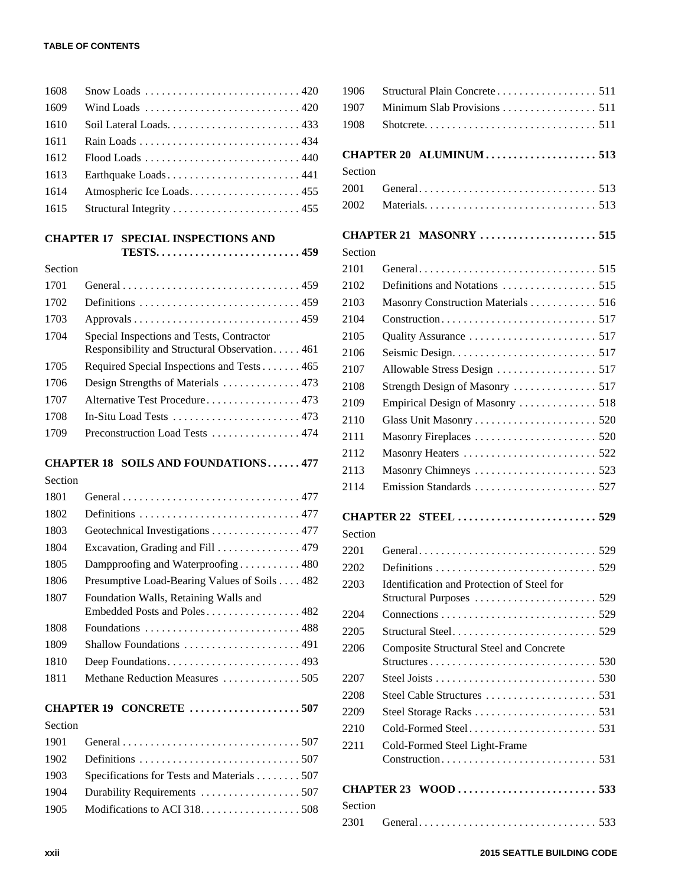| 1608 |                                                                          |
|------|--------------------------------------------------------------------------|
| 1609 | Wind Loads $\ldots \ldots \ldots \ldots \ldots \ldots \ldots \ldots 420$ |
| 1610 |                                                                          |
| 1611 |                                                                          |
| 1612 |                                                                          |
| 1613 | Earthquake Loads 441                                                     |
| 1614 | Atmospheric Ice Loads 455                                                |
| 1615 |                                                                          |
|      |                                                                          |

#### **CHAPTER 17 SPECIAL INSPECTIONS AND**

**TESTS. . . . . . . . . . . . . . . . . . . . . . . . . . 459**

| Section |                                                                |
|---------|----------------------------------------------------------------|
| 1701    |                                                                |
| 1702    |                                                                |
| 1703    |                                                                |
| 1704    | Special Inspections and Tests, Contractor                      |
|         | Responsibility and Structural Observation461                   |
| 1705    | Required Special Inspections and Tests 465                     |
| 1706    | Design Strengths of Materials  473                             |
| 1707    | Alternative Test Procedure473                                  |
| 1708    | In-Situ Load Tests $\dots\dots\dots\dots\dots\dots\dots$ . 473 |
| 1709    | Preconstruction Load Tests 474                                 |
|         |                                                                |

#### **CHAPTER 18 SOILS AND FOUNDATIONS . . . . . . 477**

| Section |                                                                           |
|---------|---------------------------------------------------------------------------|
| 1801    |                                                                           |
| 1802    |                                                                           |
| 1803    | Geotechnical Investigations 477                                           |
| 1804    | Excavation, Grading and Fill $\dots \dots \dots \dots \dots$ . 479        |
| 1805    | Dampproofing and Waterproofing $\ldots \ldots \ldots$ 480                 |
| 1806    | Presumptive Load-Bearing Values of Soils 482                              |
| 1807    | Foundation Walls, Retaining Walls and<br>Embedded Posts and Poles482      |
| 1808    | Foundations $\ldots \ldots \ldots \ldots \ldots \ldots \ldots \ldots$ 488 |
| 1809    | Shallow Foundations $\ldots \ldots \ldots \ldots \ldots$                  |
| 1810    |                                                                           |
| 1811    | Methane Reduction Measures 505                                            |
|         |                                                                           |

### **CHAPTER 19 CONCRETE . . . . . . . . . . . . . . . . . . . . 507**

| <b>Section</b> |                                            |
|----------------|--------------------------------------------|
| 1901           |                                            |
| 1902           |                                            |
| 1903           | Specifications for Tests and Materials 507 |
| 1904           |                                            |
| 1905           |                                            |
|                |                                            |

| 1906    |                                    |  |
|---------|------------------------------------|--|
| 1907    |                                    |  |
| 1908    |                                    |  |
|         |                                    |  |
| Section |                                    |  |
| 2001    |                                    |  |
|         |                                    |  |
|         | <b>CHAPTER 21 MASONRY  515</b>     |  |
| Section |                                    |  |
| 2101    |                                    |  |
| 2102    |                                    |  |
| 2103    | Masonry Construction Materials 516 |  |

| 2103 | Masonry Construction Materials 516                                          |  |
|------|-----------------------------------------------------------------------------|--|
| 2104 |                                                                             |  |
| 2105 |                                                                             |  |
| 2106 | Seismic Design. $\dots \dots \dots \dots \dots \dots \dots \dots \dots 517$ |  |
| 2107 |                                                                             |  |
| 2108 | Strength Design of Masonry  517                                             |  |
| 2109 |                                                                             |  |
| 2110 |                                                                             |  |
| 2111 |                                                                             |  |
| 2112 |                                                                             |  |
| 2113 |                                                                             |  |
| 2114 |                                                                             |  |

## **CHAPTER 22 STEEL . . . . . . . . . . . . . . . . . . . . . . . . . 529**

# Section 2201 General. . . . . . . . . . . . . . . . . . . . . . . . . . . . . . . . 529 2202 Definitions . . . . . . . . . . . . . . . . . . . . . . . . . . . . . 529 2203 Identification and Protection of Steel for Structural Purposes . . . . . . . . . . . . . . . . . . . . . . 529 2204 Connections . . . . . . . . . . . . . . . . . . . . . . . . . . . . 529 2205 Structural Steel. . . . . . . . . . . . . . . . . . . . . . . . . . 529 2206 Composite Structural Steel and Concrete Structures . . . . . . . . . . . . . . . . . . . . . . . . . . . . . . 530 2207 Steel Joists . . . . . . . . . . . . . . . . . . . . . . . . . . . . . 530 2208 Steel Cable Structures . . . . . . . . . . . . . . . . . . . . 531 2209 Steel Storage Racks . . . . . . . . . . . . . . . . . . . . . . 531 2210 Cold-Formed Steel . . . . . . . . . . . . . . . . . . . . . . . 531 2211 Cold-Formed Steel Light-Frame Construction. . . . . . . . . . . . . . . . . . . . . . . . . . . . 531 **CHAPTER 23 WOOD . . . . . . . . . . . . . . . . . . . . . . . . . 533**

| Section |  |
|---------|--|
|         |  |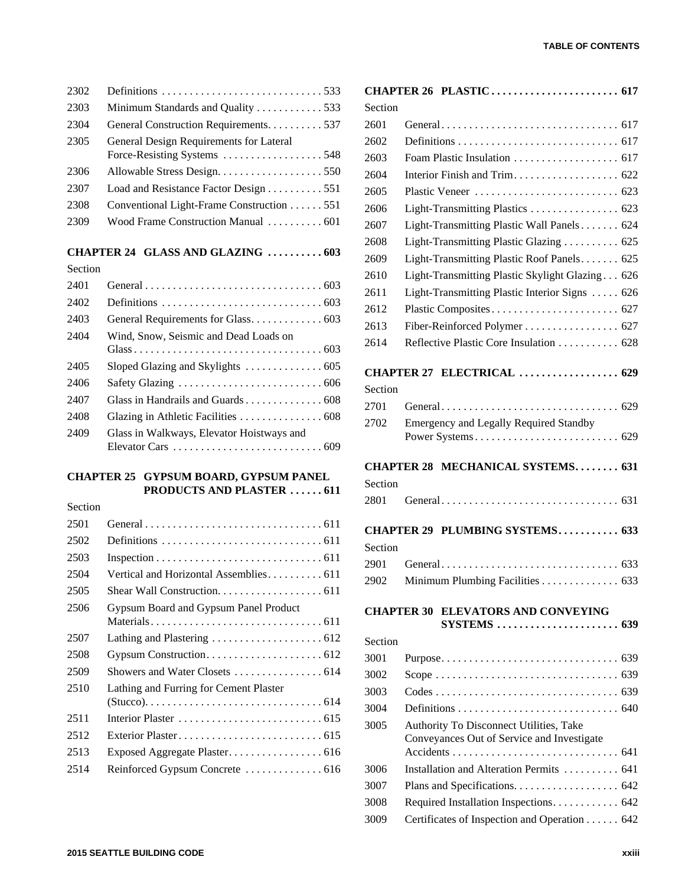| 2302                             |                                                                        |  |
|----------------------------------|------------------------------------------------------------------------|--|
| 2303                             | Minimum Standards and Quality 533                                      |  |
| 2304                             | General Construction Requirements. 537                                 |  |
| 2305                             | General Design Requirements for Lateral<br>Force-Resisting Systems 548 |  |
| 2306                             |                                                                        |  |
| 2307                             | Load and Resistance Factor Design 551                                  |  |
| 2308                             | Conventional Light-Frame Construction 551                              |  |
| 2309                             | Wood Frame Construction Manual $\ldots \ldots \ldots$ 601              |  |
|                                  |                                                                        |  |
| CHAPTER 24 GLASS AND GLAZING 603 |                                                                        |  |
| Section                          |                                                                        |  |
| 2401                             |                                                                        |  |
| 2402                             |                                                                        |  |
| 2403                             |                                                                        |  |
| 2404                             | Wind, Snow, Seismic and Dead Loads on                                  |  |
|                                  |                                                                        |  |
| 2405                             | Sloped Glazing and Skylights  605                                      |  |
| 240c                             | $C_1, C_2, \ldots, C_1, C_2, \ldots$<br>$\epsilon$                     |  |

| 2405 - | Sloped Glazing and Skylights $\ldots \ldots \ldots \ldots \ldots$                  |
|--------|------------------------------------------------------------------------------------|
| 2406   |                                                                                    |
| 2407   |                                                                                    |
| 2408   |                                                                                    |
| 2409   | Glass in Walkways, Elevator Hoistways and                                          |
|        | Elevator Cars $\ldots \ldots \ldots \ldots \ldots \ldots \ldots \ldots \ldots$ 609 |

#### **CHAPTER 25 GYPSUM BOARD, GYPSUM PANEL PRODUCTS AND PLASTER . . . . . . 611**

### Section

| 2501 |                                                                               |
|------|-------------------------------------------------------------------------------|
| 2502 |                                                                               |
| 2503 |                                                                               |
| 2504 |                                                                               |
| 2505 |                                                                               |
| 2506 | Gypsum Board and Gypsum Panel Product                                         |
| 2507 | Lathing and Plastering $\ldots \ldots \ldots \ldots \ldots \ldots \ldots$ 612 |
| 2508 |                                                                               |
| 2509 | Showers and Water Closets $\dots\dots\dots\dots\dots\dots$ 614                |
| 2510 | Lathing and Furring for Cement Plaster                                        |
| 2511 |                                                                               |
| 2512 |                                                                               |
| 2513 |                                                                               |
| 2514 |                                                                               |

| Section           |                                                                                                         |  |
|-------------------|---------------------------------------------------------------------------------------------------------|--|
| 2601              |                                                                                                         |  |
| 2602              |                                                                                                         |  |
| 2603              |                                                                                                         |  |
| 2604              |                                                                                                         |  |
| 2605              |                                                                                                         |  |
| 2606              |                                                                                                         |  |
| 2607              | Light-Transmitting Plastic Wall Panels 624                                                              |  |
| 2608              | Light-Transmitting Plastic Glazing  625                                                                 |  |
| 2609              | Light-Transmitting Plastic Roof Panels 625                                                              |  |
| 2610              | Light-Transmitting Plastic Skylight Glazing 626                                                         |  |
| 2611              | Light-Transmitting Plastic Interior Signs  626                                                          |  |
| 2612              |                                                                                                         |  |
| 2613              | Fiber-Reinforced Polymer 627                                                                            |  |
| 2614              | Reflective Plastic Core Insulation  628                                                                 |  |
|                   | CHAPTER 27 ELECTRICAL  629                                                                              |  |
| Section           |                                                                                                         |  |
| 2701              |                                                                                                         |  |
| 2702              | <b>Emergency and Legally Required Standby</b>                                                           |  |
|                   |                                                                                                         |  |
|                   |                                                                                                         |  |
|                   | CHAPTER 28 MECHANICAL SYSTEMS 631                                                                       |  |
| Section           |                                                                                                         |  |
| 2801              |                                                                                                         |  |
|                   | CHAPTER 29 PLUMBING SYSTEMS 633                                                                         |  |
| Section           |                                                                                                         |  |
| 2901              |                                                                                                         |  |
| 2902              | Minimum Plumbing Facilities 633                                                                         |  |
| <b>CHAPTER 30</b> | <b>ELEVATORS AND CONVEYING</b><br>$SYSTEMS \ldots \ldots \ldots \ldots \ldots \ldots \ldots \ldots 639$ |  |
| Section           |                                                                                                         |  |
| 3001              |                                                                                                         |  |
| 3002              |                                                                                                         |  |
| 3003              |                                                                                                         |  |
| 3004              |                                                                                                         |  |
| 3005              | Authority To Disconnect Utilities, Take                                                                 |  |
|                   | Conveyances Out of Service and Investigate                                                              |  |
|                   |                                                                                                         |  |
| 3006              | Installation and Alteration Permits  641                                                                |  |
| 3007              |                                                                                                         |  |
| 3008<br>3009      | Required Installation Inspections. 642<br>Certificates of Inspection and Operation 642                  |  |